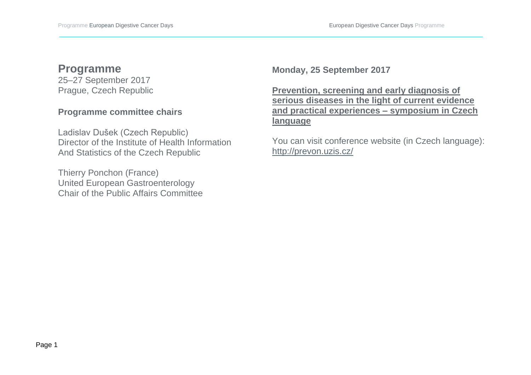# **Programme**

25–27 September 2017 Prague, Czech Republic

#### **Programme committee chairs**

Ladislav Dušek (Czech Republic) Director of the Institute of Health Information And Statistics of the Czech Republic

Thierry Ponchon (France) United European Gastroenterology Chair of the Public Affairs Committee **Monday, 25 September 2017** 

**Prevention, screening and early diagnosis of serious diseases in the light of current evidence and practical experiences – symposium in Czech language**

You can visit conference website (in Czech language): <http://prevon.uzis.cz/>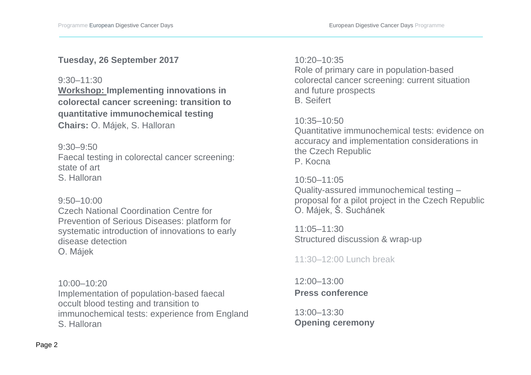### **Tuesday, 26 September 2017**

#### 9:30–11:30

**Workshop: Implementing innovations in colorectal cancer screening: transition to quantitative immunochemical testing Chairs:** O. Májek, S. Halloran

9:30–9:50

Faecal testing in colorectal cancer screening: state of art S. Halloran

9:50–10:00 Czech National Coordination Centre for Prevention of Serious Diseases: platform for systematic introduction of innovations to early disease detection O. Májek

10:00–10:20 Implementation of population-based faecal occult blood testing and transition to immunochemical tests: experience from England S. Halloran

#### 10:20–10:35

Role of primary care in population-based colorectal cancer screening: current situation and future prospects B. Seifert

## 10:35–10:50

Quantitative immunochemical tests: evidence on accuracy and implementation considerations in the Czech Republic P. Kocna

#### 10:50–11:05

Quality-assured immunochemical testing – proposal for a pilot project in the Czech Republic O. Májek, Š. Suchánek

11:05–11:30 Structured discussion & wrap-up

# 11:30–12:00 Lunch break

12:00–13:00 **Press conference** 

13:00–13:30 **Opening ceremony**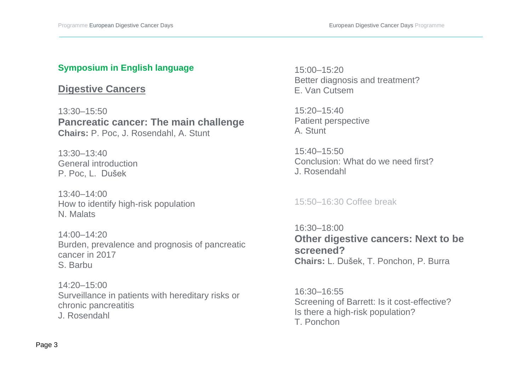## **Symposium in English language**

# **Digestive Cancers**

13:30–15:50 **Pancreatic cancer: The main challenge Chairs:** P. Poc, J. Rosendahl, A. Stunt

13:30–13:40 General introduction P. Poc, L. Dušek

13:40–14:00 How to identify high-risk population N. Malats

14:00–14:20 Burden, prevalence and prognosis of pancreatic cancer in 2017 S. Barbu

14:20–15:00 Surveillance in patients with hereditary risks or chronic pancreatitis

J. Rosendahl

15:00–15:20 Better diagnosis and treatment? E. Van Cutsem

15:20–15:40 Patient perspective A. Stunt

15:40–15:50 Conclusion: What do we need first? J. Rosendahl

15:50–16:30 Coffee break

16:30–18:00 **Other digestive cancers: Next to be screened? Chairs:** L. Dušek, T. Ponchon, P. Burra

16:30–16:55 Screening of Barrett: Is it cost-effective? Is there a high-risk population? T. Ponchon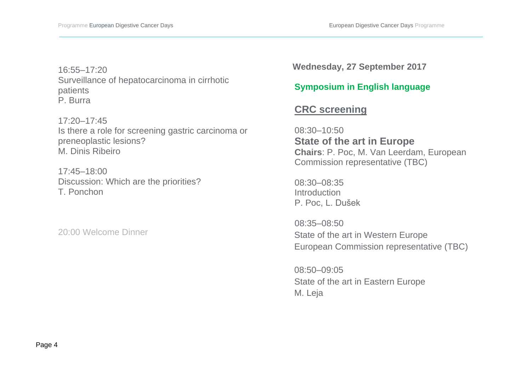16:55–17:20 Surveillance of hepatocarcinoma in cirrhotic patients P. Burra

17:20–17:45 Is there a role for screening gastric carcinoma or preneoplastic lesions? M. Dinis Ribeiro

17:45–18:00 Discussion: Which are the priorities? T. Ponchon

20:00 Welcome Dinner

**Wednesday, 27 September 2017**

# **Symposium in English language**

# **CRC screening**

08:30–10:50 **State of the art in Europe Chairs**: P. Poc, M. Van Leerdam, European Commission representative (TBC)

08:30–08:35 **Introduction** P. Poc, L. Dušek

08:35–08:50 State of the art in Western Europe European Commission representative (TBC)

 08:50–09:05 State of the art in Eastern Europe M. Leja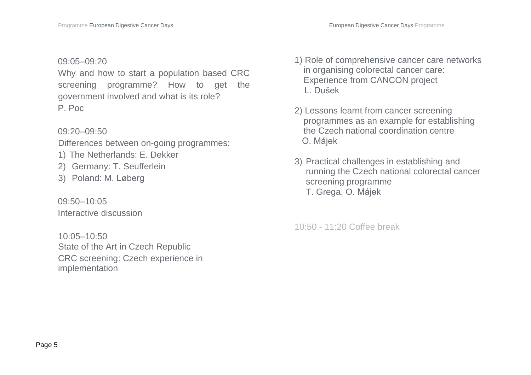#### 09:05–09:20

Why and how to start a population based CRC screening programme? How to get the government involved and what is its role? P. Poc

#### 09:20–09:50

Differences between on-going programmes:

- 1) The Netherlands: E. Dekker
- 2) Germany: T. Seufferlein
- 3) Poland: M. Løberg

 09:50–10:05 Interactive discussion

10:05–10:50 State of the Art in Czech Republic CRC screening: Czech experience in implementation

- 1) Role of comprehensive cancer care networks in organising colorectal cancer care: Experience from CANCON project L. Dušek
- 2) Lessons learnt from cancer screening programmes as an example for establishing the Czech national coordination centre O. Májek
- 3) Practical challenges in establishing and running the Czech national colorectal cancer screening programme T. Grega, O. Májek

10:50 - 11:20 Coffee break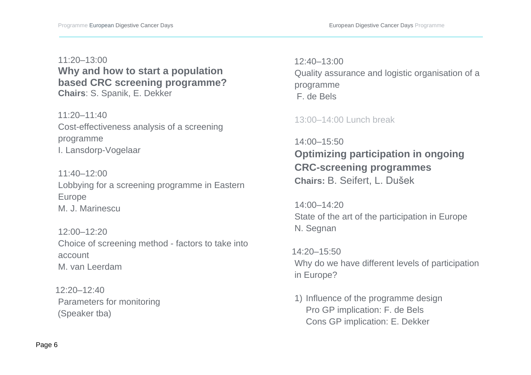# 11:20–13:00 **Why and how to start a population based CRC screening programme? Chairs**: S. Spanik, E. Dekker

 $11:20 - 11:40$ Cost-effectiveness analysis of a screening programme I. Lansdorp-Vogelaar

 $11:40-12:00$ Lobbying for a screening programme in Eastern Europe M. J. Marinescu

12:00–12:20 Choice of screening method - factors to take into account M. van Leerdam

 $12:20 - 12:40$ Parameters for monitoring (Speaker tba)

 12:40–13:00 Quality assurance and logistic organisation of a programme F. de Bels

### 13:00–14:00 Lunch break

14:00–15:50 **Optimizing participation in ongoing CRC-screening programmes Chairs:** B. Seifert, L. Dušek

14:00–14:20 State of the art of the participation in Europe N. Segnan

 14:20–15:50 Why do we have different levels of participation in Europe?

1) Influence of the programme design Pro GP implication: F. de Bels Cons GP implication: E. Dekker